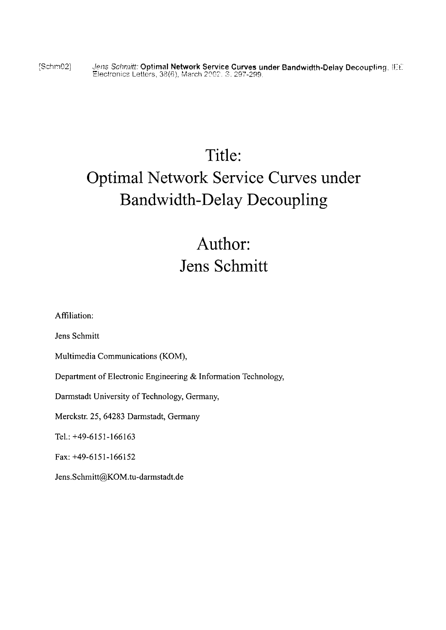[Szhrn92] **J97s** Schr~ifl': **Optimal Network Service Curves under Bandwidth-Dclay Decouplirtg. iT:t':** - c.lectrcnics Letters, 38(Gj, March 21'CT. *Y.* ;GY-299,

# Title: Optimal Network Service Curves under Bandwidth-Delay Decoupling

## Author: Jens Schmitt

Affiliation:

Jens Schmitt

Multimedia Communications (KOM),

Department of Electronic Engineering & Information Technology,

Darmstadt University of Technology, Germany,

Merckstr. 25, 64283 Darmstadt, Germany

Tel.: +49-6151-166163

Fax: +49-6151-166152

**Jens.Schmitt@KOM.tu-darmstadt.de**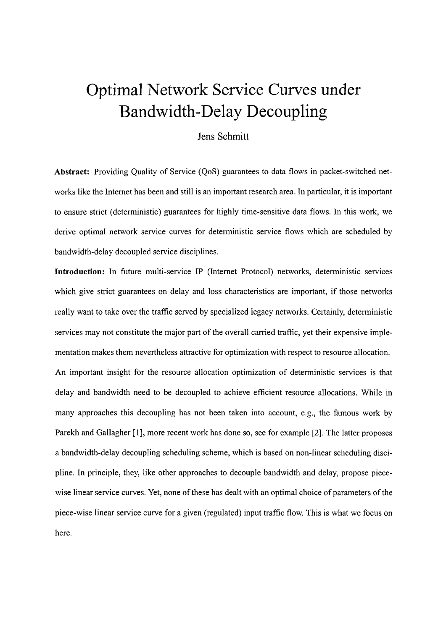## Optimal Network Service Curves under Bandwidth-Delay Decoupling

### Jens Schmitt

**Abstract:** Providing Quality of Service (QoS) guarantees to data flows in packet-switched networks like the Intemet has been and still is an important research area. In particular, it is important to ensure strict (deterministic) guarantees for highly time-sensitive data flows. In this work, we derive optimal network service curves for deterministic service flows which are scheduled by bandwidth-delay decoupled service disciplines.

**Introduction:** In future multi-service IP (Internet Protocol) networks, deterministic services which give strict guarantees on delay and loss characteristics are important, if those networks really Want to take over the traffic served by specialized legacy networks. Certainly, deterministic services may not constitute the major part of the overall carried traffic, yet their expensive implementation makes them nevertheless attractive for optimization with respect to resource allocation. An important insight for the resource allocation optimization of deterministic services is that delay and bandwidth need to be decoupled to achieve efficient resource allocations. While in many approaches this decoupling has not been taken into account, e.g., the famous work by Parekh and Gallagher [1], more recent work has done so, see for example [2]. The latter proposes a bandwidth-delay decoupling scheduling scheme, which is based on non-linear scheduling discipline. In principle, they, like other approaches to decouple bandwidth and delay, propose piecewise linear service curves. Yet, none of these has dealt with an optimal choice of parameters of the piece-wise linear service curve for a given (regulated) input traffic flow. This is what we focus on here.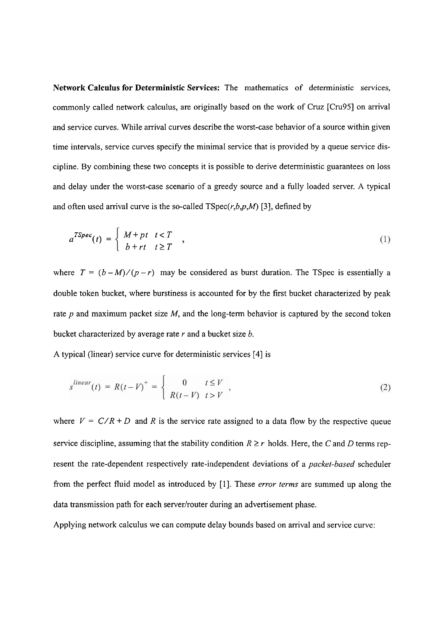Network Calculus for Deterministic Services: The mathematics of deterministic services, commonly called network calculus, are originally based on the work of Cruz [Cm951 on arrival and service curves. While arrival curves describe the worst-case behavior of a source within given time intervals, service curves specify the minimal service that is provided by a queue service discipline. By combining these two concepts it is possible to derive deterministic guarantees on loss and delay under the worst-case scenario of a greedy source and a fully loaded server. A typical and often used arrival curve is the so-called  $TSpec(r,b,p,M)$  [3], defined by

$$
a^{TSpec}(t) = \begin{cases} M+pt & t < T \\ b+rt & t \ge T \end{cases}
$$
 (1)

where  $T = (b - M)/(p - r)$  may be considered as burst duration. The TSpec is essentially a double token bucket, where burstiness is accounted for by the first bucket characterized by peak rate  $p$  and maximum packet size  $M$ , and the long-term behavior is captured by the second token bucket characterized by average rate  $r$  and a bucket size  $b$ .

A typical (linear) service curve for deterministic services [4] is

$$
s^{linear}(t) = R(t-V)^{+} = \begin{cases} 0 & t \leq V \\ R(t-V) & t > V \end{cases},
$$
 (2)

where  $V = C/R + D$  and R is the service rate assigned to a data flow by the respective queue service discipline, assuming that the stability condition  $R \ge r$  holds. Here, the C and D terms represent the rate-dependent respectively rate-independent deviations of a *packet-based* scheduler from the perfect fluid model as introduced by [1]. These *error terms* are summed up along the data transmission path for each server/router during an advertisement phase.

Applying network calculus we can compute delay bounds based on arrival and service curve: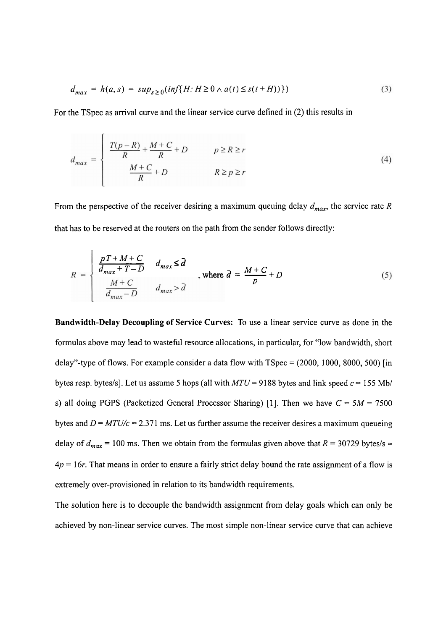$$
d_{max} = h(a, s) = sup_{s \ge 0} (inf\{H: H \ge 0 \land a(t) \le s(t + H))\})
$$
\n(3)

For the TSpec as arrival curve and the linear service curve defined in (2) this results in

$$
d_{max} = \begin{cases} \frac{T(p-R)}{R} + \frac{M+C}{R} + D & p \ge R \ge r\\ \frac{M+C}{R} + D & R \ge p \ge r \end{cases} \tag{4}
$$

From the perspective of the receiver desiring a maximum queuing delay  $d_{max}$ , the service rate R that has to be reserved at the routers on the path from the sender follows directly:

has to be reserved at the routers on the path from the sender follows directly:  
\n
$$
R = \begin{cases}\n\frac{pT + M + C}{d_{max} + T - D} & d_{max} \le \bar{d} \\
\frac{M + C}{d_{max} - D} & d_{max} > \bar{d}\n\end{cases}
$$
\nwhere  $\bar{d} = \frac{M + C}{p} + D$  (5)

**Bandwidth-Delay Decoupling of Service Curves:** To use a linear service curve as done in the formulas above may lead to wasteful resource allocations, in particular, for "low bandwidth, short delay"-type of flows. For example consider a data flow with  $TSpec = (2000, 1000, 8000, 500)$  [in bytes resp. bytes/s]. Let us assume 5 hops (all with  $MTU = 9188$  bytes and link speed  $c = 155$  Mb/ s) all doing PGPS (Packetized General Processor Sharing) [1]. Then we have  $C = 5M = 7500$ bytes and  $D = MTU/c = 2.371$  ms. Let us further assume the receiver desires a maximum queueing delay of  $d_{max}$  = 100 ms. Then we obtain from the formulas given above that  $R = 30729$  bytes/s  $\approx$ **4p** = 16r. That means in order to ensure a fairly strict delay bound the rate assignment of a flow is extremely over-provisioned in relation to its bandwidth requirements.

The solution here is to decouple the bandwidth assignment from delay goals which can only be achieved by non-linear service curves. The most simple non-linear service curve that can achieve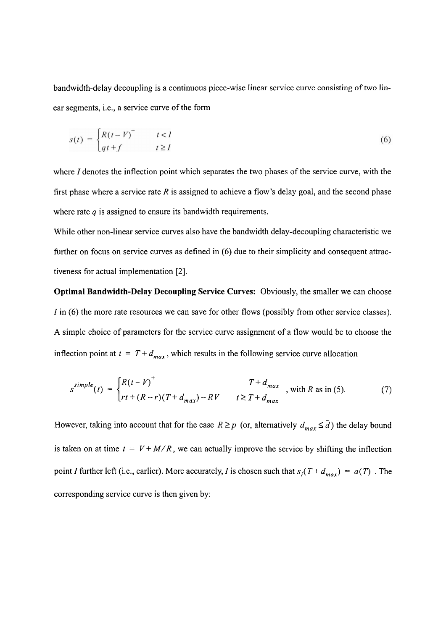bandwidth-delay decoupling is a continuous piece-wise linear service curve consisting of two linear segments, i.e., a service curve of the form

$$
s(t) = \begin{cases} R(t - V)^+ & t < I \\ qt + f & t \ge I \end{cases} \tag{6}
$$

where I denotes the inflection point which separates the two phases of the service curve, with the first phase where a service rate *R* is assigned to achieve a flow's delay goal, and the second phase where rate  $q$  is assigned to ensure its bandwidth requirements.

While other non-linear service curves also have the bandwidth delay-decoupling characteristic we fürther on focus on service curves as defined in (6) due to their simplicity and consequent attractiveness for actual implementation [2].

**Optimal Bandwidth-Delay Decoupling Service Curves:** Obviously, the smaller we can choose I in (6) the more rate resources we can save for other flows (possibly from other service classes). A simple choice of parameters for the service curve assignrnent of a flow would be to choose the inflection point at  $t = T + d_{max}$ , which results in the following service curve allocation

$$
s^{simple}(t) = \begin{cases} R(t - V)^+ & T + d_{max} \\ rt + (R - r)(T + d_{max}) - RV & t \ge T + d_{max} \end{cases}
$$
, with  $R$  as in (5). (7)

However, taking into account that for the case  $R \ge p$  (or, alternatively  $d_{max} \le \overline{d}$ ) the delay bound is taken on at time  $t = V + M/R$ , we can actually improve the service by shifting the inflection point I further left (i.e., earlier). More accurately, I is chosen such that  $s_i(T + d_{max}) = a(T)$ . The corresponding service curve is then given by: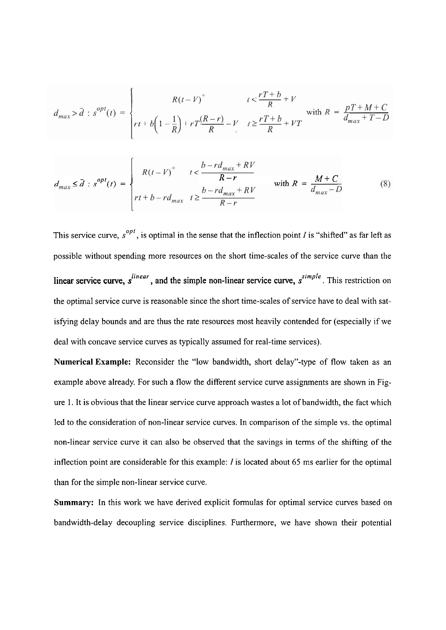$$
d_{max} > \bar{d} : s^{opt}(t) = \begin{cases} R(t - V)^+ & t < \frac{rT + b}{R} + V \\ rt + b\left(1 - \frac{1}{R}\right) + rT\frac{(R - r)}{R} - V & t \ge \frac{rT + b}{R} + VT \end{cases} \text{ with } R = \frac{pT + M + C}{d_{max} + T - D}
$$

$$
d_{max} \le \overline{d} : s^{opt}(t) = \begin{cases} R(t - V)^+ & t < \frac{b - rd_{max} + RV}{R - r} \\ rt + b - rd_{max} & t \ge \frac{b - rd_{max} + RV}{R - r} \end{cases} \quad \text{with } R = \frac{M + C}{d_{max} - D} \tag{8}
$$

This service curve,  $s^{opt}$ , is optimal in the sense that the inflection point I is "shifted" as far left as possible without spending more resources on the short time-scales of the service curve than the linear service curve,  $s^{linear}$ , and the simple non-linear service curve,  $s^{simple}$ . This restriction on the optimal service curve is reasonable since the short time-scales of service have to deal with satisfying delay bounds and are thus the rate resources most heavily contended for (especially if we deal with concave service curves as typically assumed for real-time services).

Numerical Example: Reconsider the "low bandwidth, short delay"-type of flow taken as an example above already. For such a flow the different service curve assignments are shown in Figure 1. It is obvious that the linear service curve approach wastes a lot of bandwidth, the fact which led to the consideration of non-linear service curves. In comparison of the simple vs. the optimal non-linear service curve it can also be observed that the savings in terms of the shifting of the inflection point are considerable for this example: I is located about 65 ms earlier for the optimal than for the simple non-linear service curve.

**Summary:** In this work we have derived explicit formulas for optimal service curves based on bandwidth-delay decoupling service disciplines. Furthermore, we have shown their potential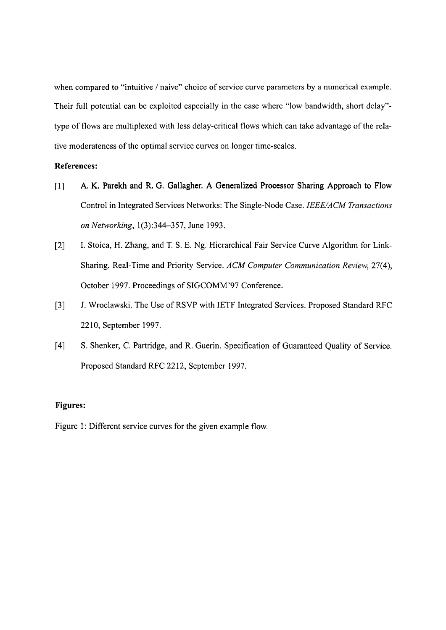when compared to "intuitive / naive" choice of service curve parameters by a numerical example. Their full potential can be exploited especially in the case where "low bandwidth, short delay"type of flows are multiplexed with less delay-critical flows which can take advantage of the relative moderateness of the optimal service curves on longer time-scales.

### **References:**

- [l] A. K. Parekh and R. G. Gallagher. A Generalized Processor Sharing Approach to Flow Control in Integrated Services Networks: The Single-Node Case. IEEE/ACM Transactions on Networking, 1(3):344–357, June 1993.
- [2] I. Stoica, H. Zhang, and T. S. E. Ng. Hierarchical Fair Service Curve Algorithm for Link-Sharing, Real-Time and Priority Service. ACM Computer Communication Review, 27(4), October 1997. Proceedings of SIGCOMM'97 Conference.
- [3] J. Wroclawski. The Use of RSVP with IETF Integrated Services. Proposed Standard RFC 22 10, September 1997.
- [4] S. Shenker, C. Partridge, and R. Guerin. Specification of Guaranteed Quality of Service. Proposed Standard RFC 22 12, September 1997.

### **Figures:**

Figure 1: Different service curves for the given example flow.